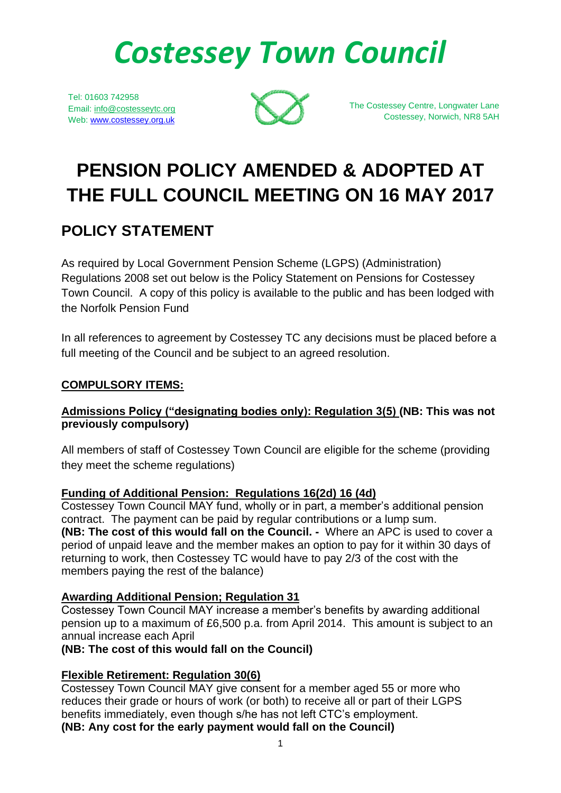# *Costessey Town Council*

Tel: 01603 742958 Email: info@costesseytc.org Web: [www.costessey.org.uk](http://www.costessey.org.uk/)



The Costessey Centre, Longwater Lane Costessey, Norwich, NR8 5AH

## **PENSION POLICY AMENDED & ADOPTED AT THE FULL COUNCIL MEETING ON 16 MAY 2017**

### **POLICY STATEMENT**

As required by Local Government Pension Scheme (LGPS) (Administration) Regulations 2008 set out below is the Policy Statement on Pensions for Costessey Town Council. A copy of this policy is available to the public and has been lodged with the Norfolk Pension Fund

In all references to agreement by Costessey TC any decisions must be placed before a full meeting of the Council and be subject to an agreed resolution.

#### **COMPULSORY ITEMS:**

#### **Admissions Policy ("designating bodies only): Regulation 3(5) (NB: This was not previously compulsory)**

All members of staff of Costessey Town Council are eligible for the scheme (providing they meet the scheme regulations)

#### **Funding of Additional Pension: Regulations 16(2d) 16 (4d)**

Costessey Town Council MAY fund, wholly or in part, a member's additional pension contract. The payment can be paid by regular contributions or a lump sum. **(NB: The cost of this would fall on the Council. -** Where an APC is used to cover a period of unpaid leave and the member makes an option to pay for it within 30 days of returning to work, then Costessey TC would have to pay 2/3 of the cost with the members paying the rest of the balance)

#### **Awarding Additional Pension; Regulation 31**

Costessey Town Council MAY increase a member's benefits by awarding additional pension up to a maximum of £6,500 p.a. from April 2014. This amount is subject to an annual increase each April

#### **(NB: The cost of this would fall on the Council)**

#### **Flexible Retirement: Regulation 30(6)**

Costessey Town Council MAY give consent for a member aged 55 or more who reduces their grade or hours of work (or both) to receive all or part of their LGPS benefits immediately, even though s/he has not left CTC's employment. **(NB: Any cost for the early payment would fall on the Council)**